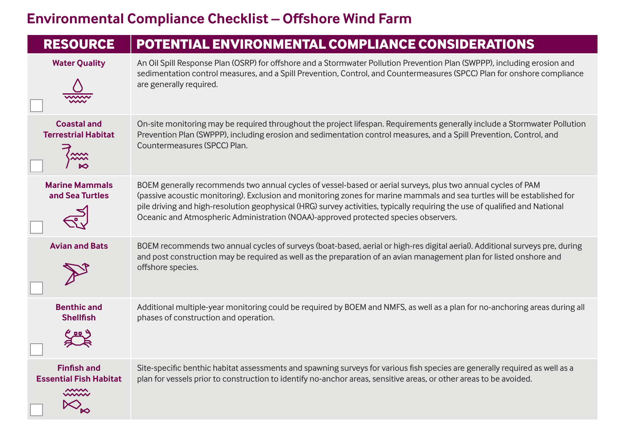## **Environmental Compliance Checklist – Offshore Wind Farm**

| <b>RESOURCE</b>                                               | <b>POTENTIAL ENVIRONMENTAL COMPLIANCE CONSIDERATIONS</b>                                                                                                                                                                                                                                                                                                                                                                                                       |
|---------------------------------------------------------------|----------------------------------------------------------------------------------------------------------------------------------------------------------------------------------------------------------------------------------------------------------------------------------------------------------------------------------------------------------------------------------------------------------------------------------------------------------------|
| <b>Water Quality</b>                                          | An Oil Spill Response Plan (OSRP) for offshore and a Stormwater Pollution Prevention Plan (SWPPP), including erosion and<br>sedimentation control measures, and a Spill Prevention, Control, and Countermeasures (SPCC) Plan for onshore compliance<br>are generally required.                                                                                                                                                                                 |
| <b>Coastal and</b><br><b>Terrestrial Habitat</b>              | On-site monitoring may be required throughout the project lifespan. Requirements generally include a Stormwater Pollution<br>Prevention Plan (SWPPP), including erosion and sedimentation control measures, and a Spill Prevention, Control, and<br>Countermeasures (SPCC) Plan.                                                                                                                                                                               |
| <b>Marine Mammals</b><br>and Sea Turtles                      | BOEM generally recommends two annual cycles of vessel-based or aerial surveys, plus two annual cycles of PAM<br>(passive acoustic monitoring). Exclusion and monitoring zones for marine mammals and sea turtles will be established for<br>pile driving and high-resolution geophysical (HRG) survey activities, typically requiring the use of qualified and National<br>Oceanic and Atmospheric Administration (NOAA)-approved protected species observers. |
| <b>Avian and Bats</b>                                         | BOEM recommends two annual cycles of surveys (boat-based, aerial or high-res digital aerial). Additional surveys pre, during<br>and post construction may be required as well as the preparation of an avian management plan for listed onshore and<br>offshore species.                                                                                                                                                                                       |
| <b>Benthic and</b><br><b>Shellfish</b>                        | Additional multiple-year monitoring could be required by BOEM and NMFS, as well as a plan for no-anchoring areas during all<br>phases of construction and operation.                                                                                                                                                                                                                                                                                           |
| <b>Finfish and</b><br><b>Essential Fish Habitat</b><br>$\sim$ | Site-specific benthic habitat assessments and spawning surveys for various fish species are generally required as well as a<br>plan for vessels prior to construction to identify no-anchor areas, sensitive areas, or other areas to be avoided.                                                                                                                                                                                                              |